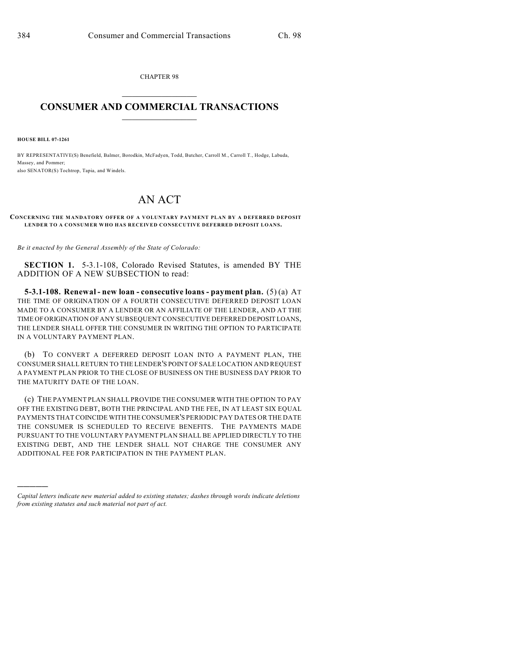CHAPTER 98  $\mathcal{L}_\text{max}$  . The set of the set of the set of the set of the set of the set of the set of the set of the set of the set of the set of the set of the set of the set of the set of the set of the set of the set of the set

## **CONSUMER AND COMMERCIAL TRANSACTIONS**  $\frac{1}{2}$  ,  $\frac{1}{2}$  ,  $\frac{1}{2}$  ,  $\frac{1}{2}$  ,  $\frac{1}{2}$  ,  $\frac{1}{2}$

**HOUSE BILL 07-1261**

)))))

BY REPRESENTATIVE(S) Benefield, Balmer, Borodkin, McFadyen, Todd, Butcher, Carroll M., Carroll T., Hodge, Labuda, Massey, and Pommer; also SENATOR(S) Tochtrop, Tapia, and Windels.

## AN ACT

## **CONCERNING THE MANDATORY OFFER OF A VOLUNTARY PAYMENT PLAN BY A DEFERRED DEPOSIT LENDER TO A CONSUMER WHO HAS RECEIVED CONSECUTIVE DEFERRED DEPOSIT LOANS.**

*Be it enacted by the General Assembly of the State of Colorado:*

**SECTION 1.** 5-3.1-108, Colorado Revised Statutes, is amended BY THE ADDITION OF A NEW SUBSECTION to read:

**5-3.1-108. Renewal - new loan - consecutive loans - payment plan.** (5) (a) AT THE TIME OF ORIGINATION OF A FOURTH CONSECUTIVE DEFERRED DEPOSIT LOAN MADE TO A CONSUMER BY A LENDER OR AN AFFILIATE OF THE LENDER, AND AT THE TIME OF ORIGINATION OF ANY SUBSEQUENT CONSECUTIVE DEFERRED DEPOSIT LOANS, THE LENDER SHALL OFFER THE CONSUMER IN WRITING THE OPTION TO PARTICIPATE IN A VOLUNTARY PAYMENT PLAN.

(b) TO CONVERT A DEFERRED DEPOSIT LOAN INTO A PAYMENT PLAN, THE CONSUMER SHALL RETURN TO THE LENDER'S POINT OF SALE LOCATION AND REQUEST A PAYMENT PLAN PRIOR TO THE CLOSE OF BUSINESS ON THE BUSINESS DAY PRIOR TO THE MATURITY DATE OF THE LOAN.

(c) THE PAYMENT PLAN SHALL PROVIDE THE CONSUMER WITH THE OPTION TO PAY OFF THE EXISTING DEBT, BOTH THE PRINCIPAL AND THE FEE, IN AT LEAST SIX EQUAL PAYMENTS THAT COINCIDE WITH THE CONSUMER'S PERIODIC PAY DATES OR THE DATE THE CONSUMER IS SCHEDULED TO RECEIVE BENEFITS. THE PAYMENTS MADE PURSUANT TO THE VOLUNTARY PAYMENT PLAN SHALL BE APPLIED DIRECTLY TO THE EXISTING DEBT, AND THE LENDER SHALL NOT CHARGE THE CONSUMER ANY ADDITIONAL FEE FOR PARTICIPATION IN THE PAYMENT PLAN.

*Capital letters indicate new material added to existing statutes; dashes through words indicate deletions from existing statutes and such material not part of act.*